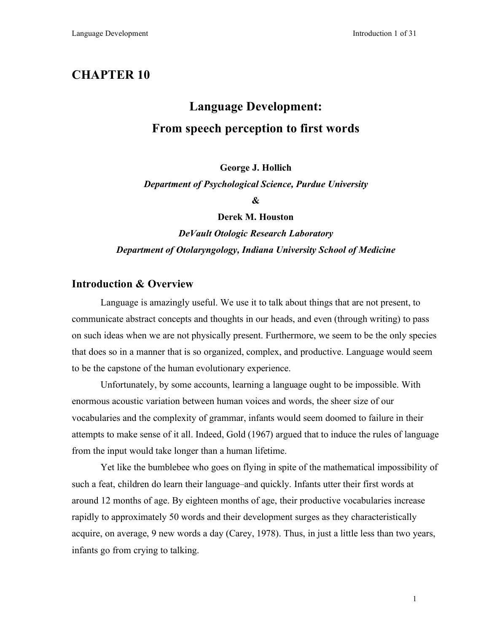# **CHAPTER 10**

# **Language Development: From speech perception to first words**

**George J. Hollich**

*Department of Psychological Science, Purdue University*

**&**

**Derek M. Houston**

*DeVault Otologic Research Laboratory Department of Otolaryngology, Indiana University School of Medicine*

### **Introduction & Overview**

Language is amazingly useful. We use it to talk about things that are not present, to communicate abstract concepts and thoughts in our heads, and even (through writing) to pass on such ideas when we are not physically present. Furthermore, we seem to be the only species that does so in a manner that is so organized, complex, and productive. Language would seem to be the capstone of the human evolutionary experience.

Unfortunately, by some accounts, learning a language ought to be impossible. With enormous acoustic variation between human voices and words, the sheer size of our vocabularies and the complexity of grammar, infants would seem doomed to failure in their attempts to make sense of it all. Indeed, Gold (1967) argued that to induce the rules of language from the input would take longer than a human lifetime.

Yet like the bumblebee who goes on flying in spite of the mathematical impossibility of such a feat, children do learn their language–and quickly. Infants utter their first words at around 12 months of age. By eighteen months of age, their productive vocabularies increase rapidly to approximately 50 words and their development surges as they characteristically acquire, on average, 9 new words a day (Carey, 1978). Thus, in just a little less than two years, infants go from crying to talking.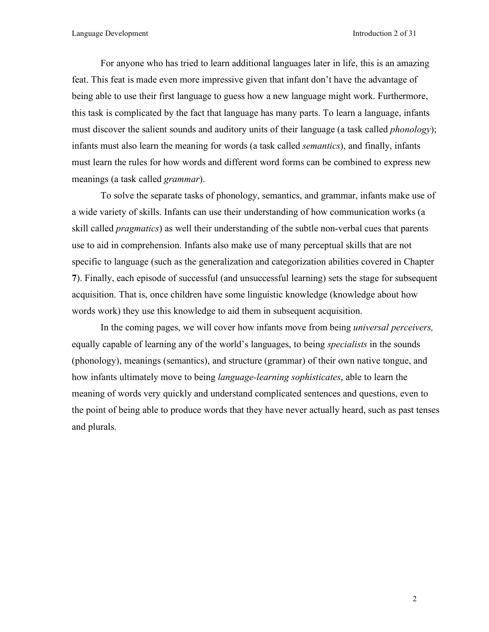For anyone who has tried to learn additional languages later in life, this is an amazing feat. This feat is made even more impressive given that infant don't have the advantage of being able to use their first language to guess how a new language might work. Furthermore, this task is complicated by the fact that language has many parts. To learn a language, infants must discover the salient sounds and auditory units of their language (a task called *phonology*); infants must also learn the meaning for words (a task called *semantics*), and finally, infants must learn the rules for how words and different word forms can be combined to express new meanings (a task called *grammar*).

To solve the separate tasks of phonology, semantics, and grammar, infants make use of a wide variety of skills. Infants can use their understanding of how communication works (a skill called *pragmatics*) as well their understanding of the subtle non-verbal cues that parents use to aid in comprehension. Infants also make use of many perceptual skills that are not specific to language (such as the generalization and categorization abilities covered in Chapter **7**). Finally, each episode of successful (and unsuccessful learning) sets the stage for subsequent acquisition. That is, once children have some linguistic knowledge (knowledge about how words work) they use this knowledge to aid them in subsequent acquisition.

In the coming pages, we will cover how infants move from being *universal perceivers,* equally capable of learning any of the world's languages, to being *specialists* in the sounds (phonology), meanings (semantics), and structure (grammar) of their own native tongue, and how infants ultimately move to being *language-learning sophisticates*, able to learn the meaning of words very quickly and understand complicated sentences and questions, even to the point of being able to produce words that they have never actually heard, such as past tenses and plurals.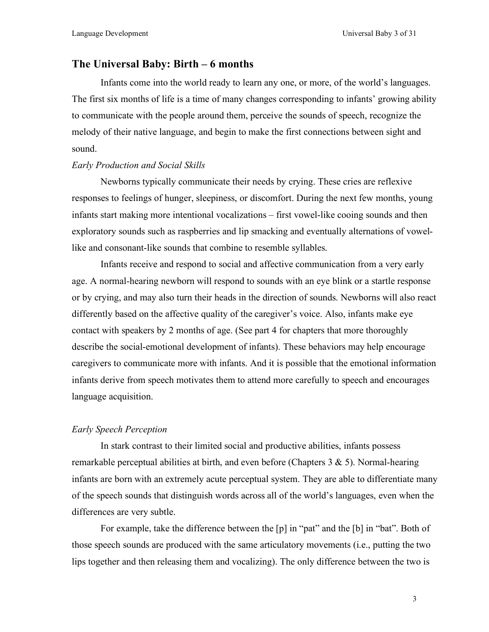#### **The Universal Baby: Birth – 6 months**

Infants come into the world ready to learn any one, or more, of the world's languages. The first six months of life is a time of many changes corresponding to infants' growing ability to communicate with the people around them, perceive the sounds of speech, recognize the melody of their native language, and begin to make the first connections between sight and sound.

#### *Early Production and Social Skills*

Newborns typically communicate their needs by crying. These cries are reflexive responses to feelings of hunger, sleepiness, or discomfort. During the next few months, young infants start making more intentional vocalizations – first vowel-like cooing sounds and then exploratory sounds such as raspberries and lip smacking and eventually alternations of vowellike and consonant-like sounds that combine to resemble syllables.

Infants receive and respond to social and affective communication from a very early age. A normal-hearing newborn will respond to sounds with an eye blink or a startle response or by crying, and may also turn their heads in the direction of sounds. Newborns will also react differently based on the affective quality of the caregiver's voice. Also, infants make eye contact with speakers by 2 months of age. (See part 4 for chapters that more thoroughly describe the social-emotional development of infants). These behaviors may help encourage caregivers to communicate more with infants. And it is possible that the emotional information infants derive from speech motivates them to attend more carefully to speech and encourages language acquisition.

#### *Early Speech Perception*

In stark contrast to their limited social and productive abilities, infants possess remarkable perceptual abilities at birth, and even before (Chapters 3 & 5). Normal-hearing infants are born with an extremely acute perceptual system. They are able to differentiate many of the speech sounds that distinguish words across all of the world's languages, even when the differences are very subtle.

For example, take the difference between the [p] in "pat" and the [b] in "bat". Both of those speech sounds are produced with the same articulatory movements (i.e., putting the two lips together and then releasing them and vocalizing). The only difference between the two is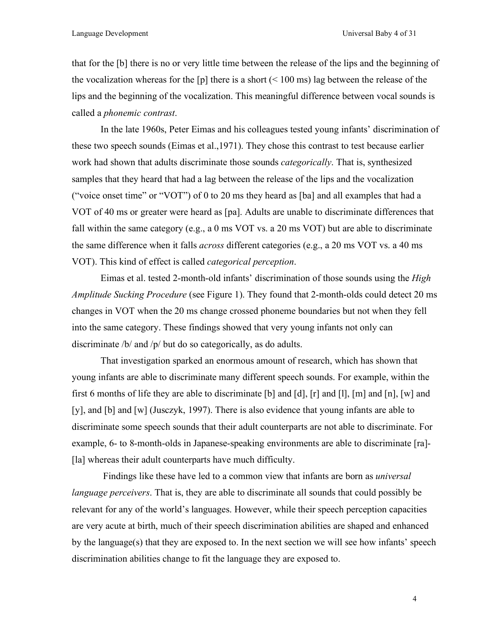that for the [b] there is no or very little time between the release of the lips and the beginning of the vocalization whereas for the [p] there is a short  $(< 100 \text{ ms})$  lag between the release of the lips and the beginning of the vocalization. This meaningful difference between vocal sounds is called a *phonemic contrast*.

In the late 1960s, Peter Eimas and his colleagues tested young infants' discrimination of these two speech sounds (Eimas et al.,1971). They chose this contrast to test because earlier work had shown that adults discriminate those sounds *categorically*. That is, synthesized samples that they heard that had a lag between the release of the lips and the vocalization ("voice onset time" or "VOT") of 0 to 20 ms they heard as [ba] and all examples that had a VOT of 40 ms or greater were heard as [pa]. Adults are unable to discriminate differences that fall within the same category (e.g., a 0 ms VOT vs. a 20 ms VOT) but are able to discriminate the same difference when it falls *across* different categories (e.g., a 20 ms VOT vs. a 40 ms VOT). This kind of effect is called *categorical perception*.

Eimas et al. tested 2-month-old infants' discrimination of those sounds using the *High Amplitude Sucking Procedure* (see Figure 1). They found that 2-month-olds could detect 20 ms changes in VOT when the 20 ms change crossed phoneme boundaries but not when they fell into the same category. These findings showed that very young infants not only can discriminate /b/ and /p/ but do so categorically, as do adults.

That investigation sparked an enormous amount of research, which has shown that young infants are able to discriminate many different speech sounds. For example, within the first 6 months of life they are able to discriminate [b] and [d], [r] and [l], [m] and [n], [w] and [y], and [b] and [w] (Jusczyk, 1997). There is also evidence that young infants are able to discriminate some speech sounds that their adult counterparts are not able to discriminate. For example, 6- to 8-month-olds in Japanese-speaking environments are able to discriminate [ra]- [la] whereas their adult counterparts have much difficulty.

Findings like these have led to a common view that infants are born as *universal language perceivers*. That is, they are able to discriminate all sounds that could possibly be relevant for any of the world's languages. However, while their speech perception capacities are very acute at birth, much of their speech discrimination abilities are shaped and enhanced by the language(s) that they are exposed to. In the next section we will see how infants' speech discrimination abilities change to fit the language they are exposed to.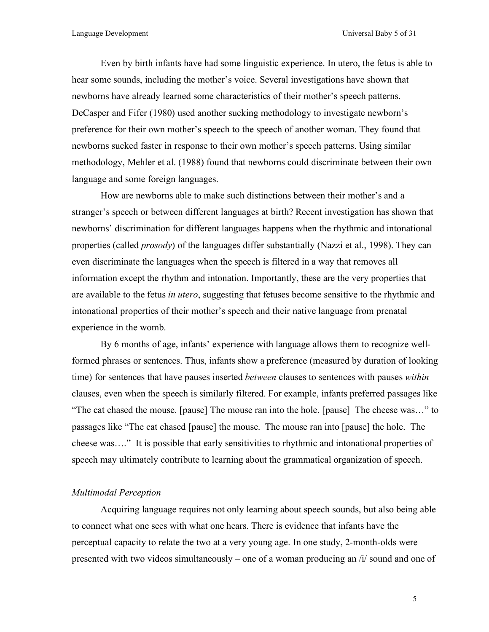Even by birth infants have had some linguistic experience. In utero, the fetus is able to hear some sounds, including the mother's voice. Several investigations have shown that newborns have already learned some characteristics of their mother's speech patterns. DeCasper and Fifer (1980) used another sucking methodology to investigate newborn's preference for their own mother's speech to the speech of another woman. They found that newborns sucked faster in response to their own mother's speech patterns. Using similar methodology, Mehler et al. (1988) found that newborns could discriminate between their own language and some foreign languages.

How are newborns able to make such distinctions between their mother's and a stranger's speech or between different languages at birth? Recent investigation has shown that newborns' discrimination for different languages happens when the rhythmic and intonational properties (called *prosody*) of the languages differ substantially (Nazzi et al., 1998). They can even discriminate the languages when the speech is filtered in a way that removes all information except the rhythm and intonation. Importantly, these are the very properties that are available to the fetus *in utero*, suggesting that fetuses become sensitive to the rhythmic and intonational properties of their mother's speech and their native language from prenatal experience in the womb.

By 6 months of age, infants' experience with language allows them to recognize wellformed phrases or sentences. Thus, infants show a preference (measured by duration of looking time) for sentences that have pauses inserted *between* clauses to sentences with pauses *within* clauses, even when the speech is similarly filtered. For example, infants preferred passages like "The cat chased the mouse. [pause] The mouse ran into the hole. [pause] The cheese was…" to passages like "The cat chased [pause] the mouse. The mouse ran into [pause] the hole. The cheese was…." It is possible that early sensitivities to rhythmic and intonational properties of speech may ultimately contribute to learning about the grammatical organization of speech.

#### *Multimodal Perception*

Acquiring language requires not only learning about speech sounds, but also being able to connect what one sees with what one hears. There is evidence that infants have the perceptual capacity to relate the two at a very young age. In one study, 2-month-olds were presented with two videos simultaneously – one of a woman producing an /i/ sound and one of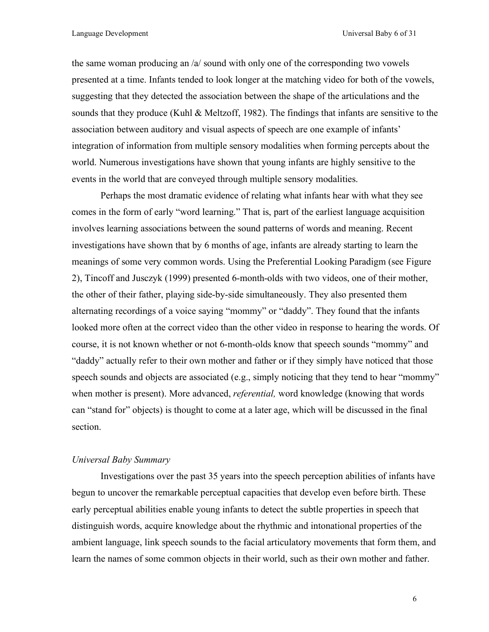the same woman producing an /a/ sound with only one of the corresponding two vowels presented at a time. Infants tended to look longer at the matching video for both of the vowels, suggesting that they detected the association between the shape of the articulations and the sounds that they produce (Kuhl & Meltzoff, 1982). The findings that infants are sensitive to the association between auditory and visual aspects of speech are one example of infants' integration of information from multiple sensory modalities when forming percepts about the world. Numerous investigations have shown that young infants are highly sensitive to the events in the world that are conveyed through multiple sensory modalities.

Perhaps the most dramatic evidence of relating what infants hear with what they see comes in the form of early "word learning." That is, part of the earliest language acquisition involves learning associations between the sound patterns of words and meaning. Recent investigations have shown that by 6 months of age, infants are already starting to learn the meanings of some very common words. Using the Preferential Looking Paradigm (see Figure 2), Tincoff and Jusczyk (1999) presented 6-month-olds with two videos, one of their mother, the other of their father, playing side-by-side simultaneously. They also presented them alternating recordings of a voice saying "mommy" or "daddy". They found that the infants looked more often at the correct video than the other video in response to hearing the words. Of course, it is not known whether or not 6-month-olds know that speech sounds "mommy" and "daddy" actually refer to their own mother and father or if they simply have noticed that those speech sounds and objects are associated (e.g., simply noticing that they tend to hear "mommy" when mother is present). More advanced, *referential,* word knowledge (knowing that words can "stand for" objects) is thought to come at a later age, which will be discussed in the final section.

#### *Universal Baby Summary*

Investigations over the past 35 years into the speech perception abilities of infants have begun to uncover the remarkable perceptual capacities that develop even before birth. These early perceptual abilities enable young infants to detect the subtle properties in speech that distinguish words, acquire knowledge about the rhythmic and intonational properties of the ambient language, link speech sounds to the facial articulatory movements that form them, and learn the names of some common objects in their world, such as their own mother and father.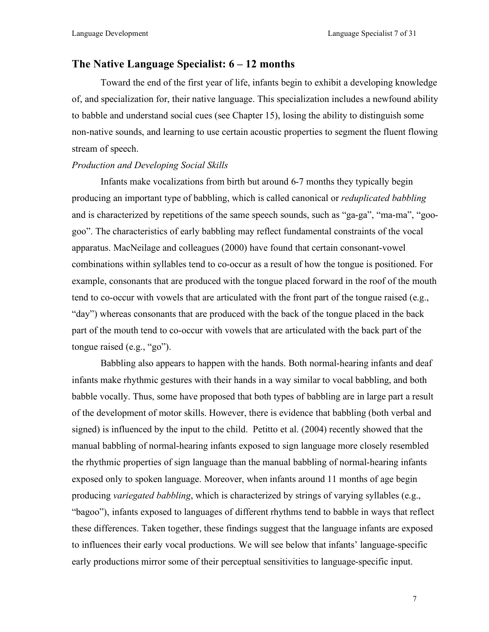# **The Native Language Specialist: 6 – 12 months**

Toward the end of the first year of life, infants begin to exhibit a developing knowledge of, and specialization for, their native language. This specialization includes a newfound ability to babble and understand social cues (see Chapter 15), losing the ability to distinguish some non-native sounds, and learning to use certain acoustic properties to segment the fluent flowing stream of speech.

#### *Production and Developing Social Skills*

Infants make vocalizations from birth but around 6-7 months they typically begin producing an important type of babbling, which is called canonical or *reduplicated babbling* and is characterized by repetitions of the same speech sounds, such as "ga-ga", "ma-ma", "googoo". The characteristics of early babbling may reflect fundamental constraints of the vocal apparatus. MacNeilage and colleagues (2000) have found that certain consonant-vowel combinations within syllables tend to co-occur as a result of how the tongue is positioned. For example, consonants that are produced with the tongue placed forward in the roof of the mouth tend to co-occur with vowels that are articulated with the front part of the tongue raised (e.g., "day") whereas consonants that are produced with the back of the tongue placed in the back part of the mouth tend to co-occur with vowels that are articulated with the back part of the tongue raised (e.g., "go").

Babbling also appears to happen with the hands. Both normal-hearing infants and deaf infants make rhythmic gestures with their hands in a way similar to vocal babbling, and both babble vocally. Thus, some have proposed that both types of babbling are in large part a result of the development of motor skills. However, there is evidence that babbling (both verbal and signed) is influenced by the input to the child. Petitto et al. (2004) recently showed that the manual babbling of normal-hearing infants exposed to sign language more closely resembled the rhythmic properties of sign language than the manual babbling of normal-hearing infants exposed only to spoken language. Moreover, when infants around 11 months of age begin producing *variegated babbling*, which is characterized by strings of varying syllables (e.g., "bagoo"), infants exposed to languages of different rhythms tend to babble in ways that reflect these differences. Taken together, these findings suggest that the language infants are exposed to influences their early vocal productions. We will see below that infants' language-specific early productions mirror some of their perceptual sensitivities to language-specific input.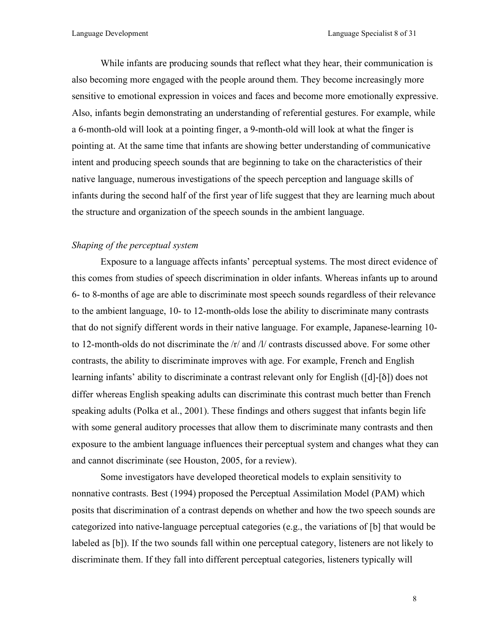While infants are producing sounds that reflect what they hear, their communication is also becoming more engaged with the people around them. They become increasingly more sensitive to emotional expression in voices and faces and become more emotionally expressive. Also, infants begin demonstrating an understanding of referential gestures. For example, while a 6-month-old will look at a pointing finger, a 9-month-old will look at what the finger is pointing at. At the same time that infants are showing better understanding of communicative intent and producing speech sounds that are beginning to take on the characteristics of their native language, numerous investigations of the speech perception and language skills of infants during the second half of the first year of life suggest that they are learning much about the structure and organization of the speech sounds in the ambient language.

#### *Shaping of the perceptual system*

Exposure to a language affects infants' perceptual systems. The most direct evidence of this comes from studies of speech discrimination in older infants. Whereas infants up to around 6- to 8-months of age are able to discriminate most speech sounds regardless of their relevance to the ambient language, 10- to 12-month-olds lose the ability to discriminate many contrasts that do not signify different words in their native language. For example, Japanese-learning 10 to 12-month-olds do not discriminate the /r/ and /l/ contrasts discussed above. For some other contrasts, the ability to discriminate improves with age. For example, French and English learning infants' ability to discriminate a contrast relevant only for English ([d]-[δ]) does not differ whereas English speaking adults can discriminate this contrast much better than French speaking adults (Polka et al., 2001). These findings and others suggest that infants begin life with some general auditory processes that allow them to discriminate many contrasts and then exposure to the ambient language influences their perceptual system and changes what they can and cannot discriminate (see Houston, 2005, for a review).

Some investigators have developed theoretical models to explain sensitivity to nonnative contrasts. Best (1994) proposed the Perceptual Assimilation Model (PAM) which posits that discrimination of a contrast depends on whether and how the two speech sounds are categorized into native-language perceptual categories (e.g., the variations of [b] that would be labeled as [b]). If the two sounds fall within one perceptual category, listeners are not likely to discriminate them. If they fall into different perceptual categories, listeners typically will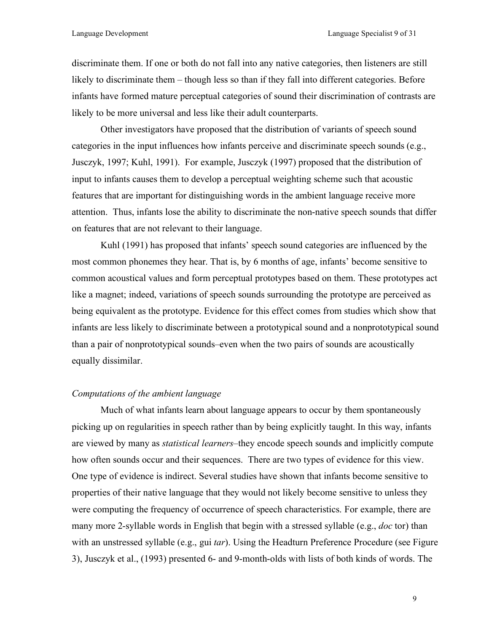discriminate them. If one or both do not fall into any native categories, then listeners are still likely to discriminate them – though less so than if they fall into different categories. Before infants have formed mature perceptual categories of sound their discrimination of contrasts are likely to be more universal and less like their adult counterparts.

Other investigators have proposed that the distribution of variants of speech sound categories in the input influences how infants perceive and discriminate speech sounds (e.g., Jusczyk, 1997; Kuhl, 1991). For example, Jusczyk (1997) proposed that the distribution of input to infants causes them to develop a perceptual weighting scheme such that acoustic features that are important for distinguishing words in the ambient language receive more attention. Thus, infants lose the ability to discriminate the non-native speech sounds that differ on features that are not relevant to their language.

Kuhl (1991) has proposed that infants' speech sound categories are influenced by the most common phonemes they hear. That is, by 6 months of age, infants' become sensitive to common acoustical values and form perceptual prototypes based on them. These prototypes act like a magnet; indeed, variations of speech sounds surrounding the prototype are perceived as being equivalent as the prototype. Evidence for this effect comes from studies which show that infants are less likely to discriminate between a prototypical sound and a nonprototypical sound than a pair of nonprototypical sounds–even when the two pairs of sounds are acoustically equally dissimilar.

#### *Computations of the ambient language*

Much of what infants learn about language appears to occur by them spontaneously picking up on regularities in speech rather than by being explicitly taught. In this way, infants are viewed by many as *statistical learners*–they encode speech sounds and implicitly compute how often sounds occur and their sequences. There are two types of evidence for this view. One type of evidence is indirect. Several studies have shown that infants become sensitive to properties of their native language that they would not likely become sensitive to unless they were computing the frequency of occurrence of speech characteristics. For example, there are many more 2-syllable words in English that begin with a stressed syllable (e.g., *doc* tor) than with an unstressed syllable (e.g., gui *tar*). Using the Headturn Preference Procedure (see Figure 3), Jusczyk et al., (1993) presented 6- and 9-month-olds with lists of both kinds of words. The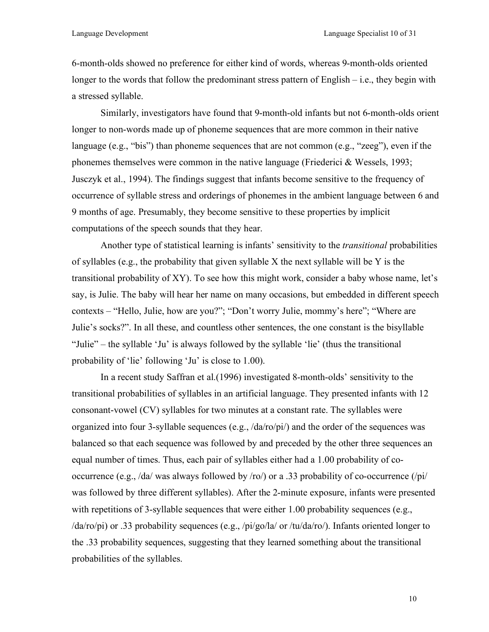6-month-olds showed no preference for either kind of words, whereas 9-month-olds oriented longer to the words that follow the predominant stress pattern of English – i.e., they begin with a stressed syllable.

Similarly, investigators have found that 9-month-old infants but not 6-month-olds orient longer to non-words made up of phoneme sequences that are more common in their native language (e.g., "bis") than phoneme sequences that are not common (e.g., "zeeg"), even if the phonemes themselves were common in the native language (Friederici & Wessels, 1993; Jusczyk et al., 1994). The findings suggest that infants become sensitive to the frequency of occurrence of syllable stress and orderings of phonemes in the ambient language between 6 and 9 months of age. Presumably, they become sensitive to these properties by implicit computations of the speech sounds that they hear.

Another type of statistical learning is infants' sensitivity to the *transitional* probabilities of syllables (e.g., the probability that given syllable X the next syllable will be Y is the transitional probability of XY). To see how this might work, consider a baby whose name, let's say, is Julie. The baby will hear her name on many occasions, but embedded in different speech contexts – "Hello, Julie, how are you?"; "Don't worry Julie, mommy's here"; "Where are Julie's socks?". In all these, and countless other sentences, the one constant is the bisyllable "Julie" – the syllable 'Ju' is always followed by the syllable 'lie' (thus the transitional probability of 'lie' following 'Ju' is close to 1.00).

In a recent study Saffran et al.(1996) investigated 8-month-olds' sensitivity to the transitional probabilities of syllables in an artificial language. They presented infants with 12 consonant-vowel (CV) syllables for two minutes at a constant rate. The syllables were organized into four 3-syllable sequences (e.g., /da/ro/pi/) and the order of the sequences was balanced so that each sequence was followed by and preceded by the other three sequences an equal number of times. Thus, each pair of syllables either had a 1.00 probability of cooccurrence (e.g., /da/ was always followed by /ro/) or a .33 probability of co-occurrence (/pi/ was followed by three different syllables). After the 2-minute exposure, infants were presented with repetitions of 3-syllable sequences that were either 1.00 probability sequences (e.g., /da/ro/pi) or .33 probability sequences (e.g., /pi/go/la/ or /tu/da/ro/). Infants oriented longer to the .33 probability sequences, suggesting that they learned something about the transitional probabilities of the syllables.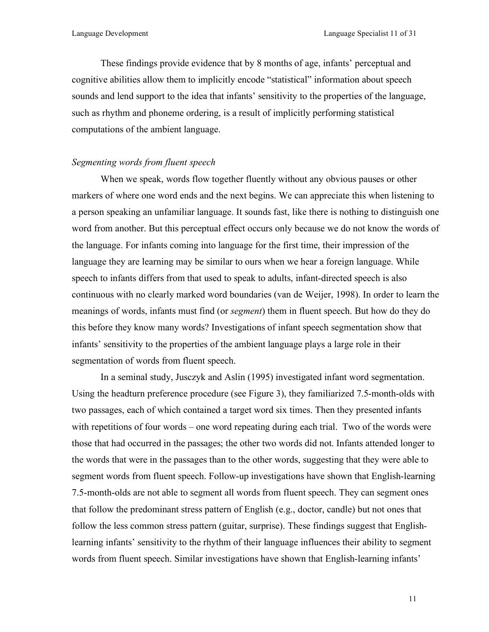These findings provide evidence that by 8 months of age, infants' perceptual and cognitive abilities allow them to implicitly encode "statistical" information about speech sounds and lend support to the idea that infants' sensitivity to the properties of the language, such as rhythm and phoneme ordering, is a result of implicitly performing statistical computations of the ambient language.

#### *Segmenting words from fluent speech*

When we speak, words flow together fluently without any obvious pauses or other markers of where one word ends and the next begins. We can appreciate this when listening to a person speaking an unfamiliar language. It sounds fast, like there is nothing to distinguish one word from another. But this perceptual effect occurs only because we do not know the words of the language. For infants coming into language for the first time, their impression of the language they are learning may be similar to ours when we hear a foreign language. While speech to infants differs from that used to speak to adults, infant-directed speech is also continuous with no clearly marked word boundaries (van de Weijer, 1998). In order to learn the meanings of words, infants must find (or *segment*) them in fluent speech. But how do they do this before they know many words? Investigations of infant speech segmentation show that infants' sensitivity to the properties of the ambient language plays a large role in their segmentation of words from fluent speech.

In a seminal study, Jusczyk and Aslin (1995) investigated infant word segmentation. Using the headturn preference procedure (see Figure 3), they familiarized 7.5-month-olds with two passages, each of which contained a target word six times. Then they presented infants with repetitions of four words – one word repeating during each trial. Two of the words were those that had occurred in the passages; the other two words did not. Infants attended longer to the words that were in the passages than to the other words, suggesting that they were able to segment words from fluent speech. Follow-up investigations have shown that English-learning 7.5-month-olds are not able to segment all words from fluent speech. They can segment ones that follow the predominant stress pattern of English (e.g., doctor, candle) but not ones that follow the less common stress pattern (guitar, surprise). These findings suggest that Englishlearning infants' sensitivity to the rhythm of their language influences their ability to segment words from fluent speech. Similar investigations have shown that English-learning infants'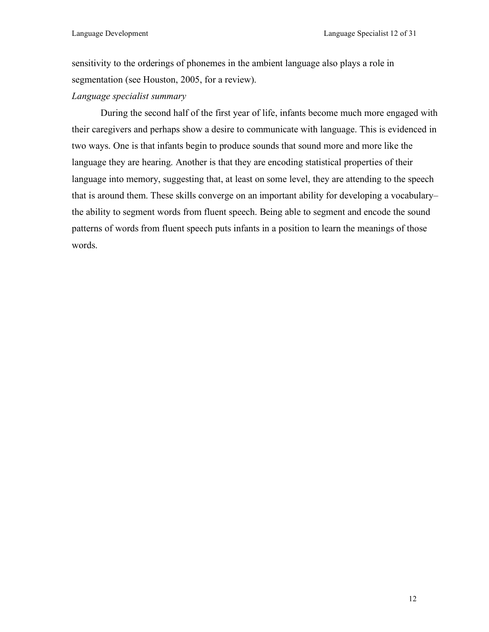sensitivity to the orderings of phonemes in the ambient language also plays a role in segmentation (see Houston, 2005, for a review).

*Language specialist summary*

During the second half of the first year of life, infants become much more engaged with their caregivers and perhaps show a desire to communicate with language. This is evidenced in two ways. One is that infants begin to produce sounds that sound more and more like the language they are hearing. Another is that they are encoding statistical properties of their language into memory, suggesting that, at least on some level, they are attending to the speech that is around them. These skills converge on an important ability for developing a vocabulary– the ability to segment words from fluent speech. Being able to segment and encode the sound patterns of words from fluent speech puts infants in a position to learn the meanings of those words.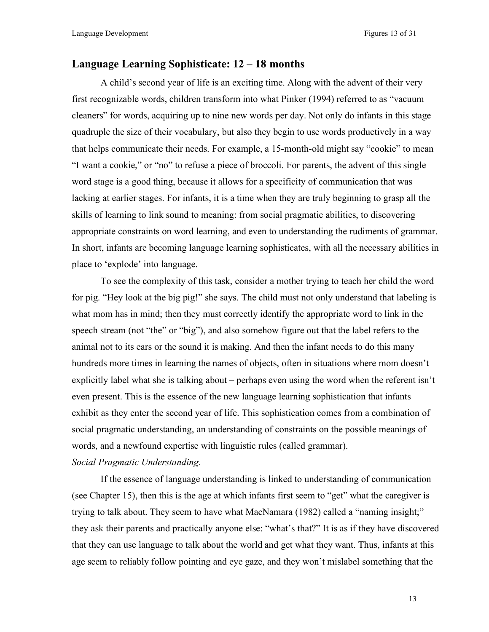#### **Language Learning Sophisticate: 12 – 18 months**

A child's second year of life is an exciting time. Along with the advent of their very first recognizable words, children transform into what Pinker (1994) referred to as "vacuum cleaners" for words, acquiring up to nine new words per day. Not only do infants in this stage quadruple the size of their vocabulary, but also they begin to use words productively in a way that helps communicate their needs. For example, a 15-month-old might say "cookie" to mean "I want a cookie," or "no" to refuse a piece of broccoli. For parents, the advent of this single word stage is a good thing, because it allows for a specificity of communication that was lacking at earlier stages. For infants, it is a time when they are truly beginning to grasp all the skills of learning to link sound to meaning: from social pragmatic abilities, to discovering appropriate constraints on word learning, and even to understanding the rudiments of grammar. In short, infants are becoming language learning sophisticates, with all the necessary abilities in place to 'explode' into language.

To see the complexity of this task, consider a mother trying to teach her child the word for pig. "Hey look at the big pig!" she says. The child must not only understand that labeling is what mom has in mind; then they must correctly identify the appropriate word to link in the speech stream (not "the" or "big"), and also somehow figure out that the label refers to the animal not to its ears or the sound it is making. And then the infant needs to do this many hundreds more times in learning the names of objects, often in situations where mom doesn't explicitly label what she is talking about – perhaps even using the word when the referent isn't even present. This is the essence of the new language learning sophistication that infants exhibit as they enter the second year of life. This sophistication comes from a combination of social pragmatic understanding, an understanding of constraints on the possible meanings of words, and a newfound expertise with linguistic rules (called grammar).

#### *Social Pragmatic Understanding.*

If the essence of language understanding is linked to understanding of communication (see Chapter 15), then this is the age at which infants first seem to "get" what the caregiver is trying to talk about. They seem to have what MacNamara (1982) called a "naming insight;" they ask their parents and practically anyone else: "what's that?" It is as if they have discovered that they can use language to talk about the world and get what they want. Thus, infants at this age seem to reliably follow pointing and eye gaze, and they won't mislabel something that the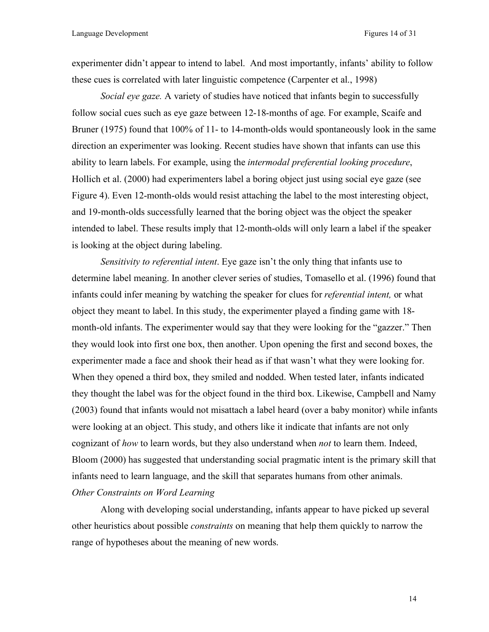experimenter didn't appear to intend to label. And most importantly, infants' ability to follow these cues is correlated with later linguistic competence (Carpenter et al., 1998)

*Social eye gaze.* A variety of studies have noticed that infants begin to successfully follow social cues such as eye gaze between 12-18-months of age. For example, Scaife and Bruner (1975) found that 100% of 11- to 14-month-olds would spontaneously look in the same direction an experimenter was looking. Recent studies have shown that infants can use this ability to learn labels. For example, using the *intermodal preferential looking procedure*, Hollich et al. (2000) had experimenters label a boring object just using social eye gaze (see Figure 4). Even 12-month-olds would resist attaching the label to the most interesting object, and 19-month-olds successfully learned that the boring object was the object the speaker intended to label. These results imply that 12-month-olds will only learn a label if the speaker is looking at the object during labeling.

*Sensitivity to referential intent*. Eye gaze isn't the only thing that infants use to determine label meaning. In another clever series of studies, Tomasello et al. (1996) found that infants could infer meaning by watching the speaker for clues for *referential intent,* or what object they meant to label. In this study, the experimenter played a finding game with 18 month-old infants. The experimenter would say that they were looking for the "gazzer." Then they would look into first one box, then another. Upon opening the first and second boxes, the experimenter made a face and shook their head as if that wasn't what they were looking for. When they opened a third box, they smiled and nodded. When tested later, infants indicated they thought the label was for the object found in the third box. Likewise, Campbell and Namy (2003) found that infants would not misattach a label heard (over a baby monitor) while infants were looking at an object. This study, and others like it indicate that infants are not only cognizant of *how* to learn words, but they also understand when *not* to learn them. Indeed, Bloom (2000) has suggested that understanding social pragmatic intent is the primary skill that infants need to learn language, and the skill that separates humans from other animals. *Other Constraints on Word Learning*

Along with developing social understanding, infants appear to have picked up several other heuristics about possible *constraints* on meaning that help them quickly to narrow the range of hypotheses about the meaning of new words.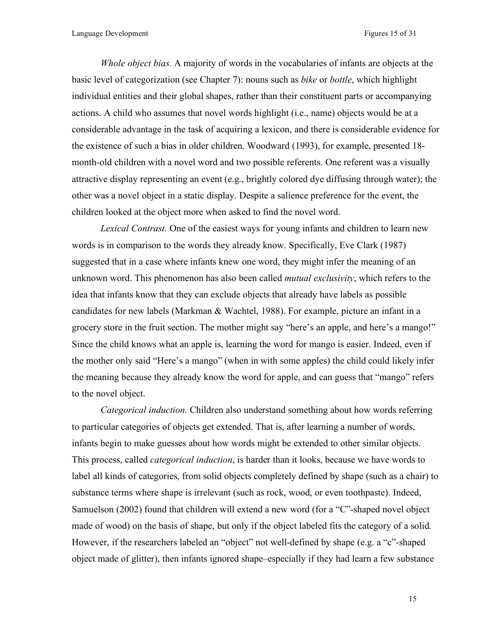*Whole object bias.* A majority of words in the vocabularies of infants are objects at the basic level of categorization (see Chapter 7): nouns such as *bike* or *bottle*, which highlight individual entities and their global shapes, rather than their constituent parts or accompanying actions. A child who assumes that novel words highlight (i.e., name) objects would be at a considerable advantage in the task of acquiring a lexicon, and there is considerable evidence for the existence of such a bias in older children. Woodward (1993), for example, presented 18 month-old children with a novel word and two possible referents. One referent was a visually attractive display representing an event (e.g., brightly colored dye diffusing through water); the other was a novel object in a static display. Despite a salience preference for the event, the children looked at the object more when asked to find the novel word.

*Lexical Contrast.* One of the easiest ways for young infants and children to learn new words is in comparison to the words they already know. Specifically, Eve Clark (1987) suggested that in a case where infants knew one word, they might infer the meaning of an unknown word. This phenomenon has also been called *mutual exclusivity*, which refers to the idea that infants know that they can exclude objects that already have labels as possible candidates for new labels (Markman & Wachtel, 1988). For example, picture an infant in a grocery store in the fruit section. The mother might say "here's an apple, and here's a mango!" Since the child knows what an apple is, learning the word for mango is easier. Indeed, even if the mother only said "Here's a mango" (when in with some apples) the child could likely infer the meaning because they already know the word for apple, and can guess that "mango" refers to the novel object.

*Categorical induction.* Children also understand something about how words referring to particular categories of objects get extended. That is, after learning a number of words, infants begin to make guesses about how words might be extended to other similar objects. This process, called *categorical induction*, is harder than it looks, because we have words to label all kinds of categories, from solid objects completely defined by shape (such as a chair) to substance terms where shape is irrelevant (such as rock, wood, or even toothpaste). Indeed, Samuelson (2002) found that children will extend a new word (for a "C"-shaped novel object made of wood) on the basis of shape, but only if the object labeled fits the category of a solid. However, if the researchers labeled an "object" not well-defined by shape (e.g. a "c"-shaped object made of glitter), then infants ignored shape–especially if they had learn a few substance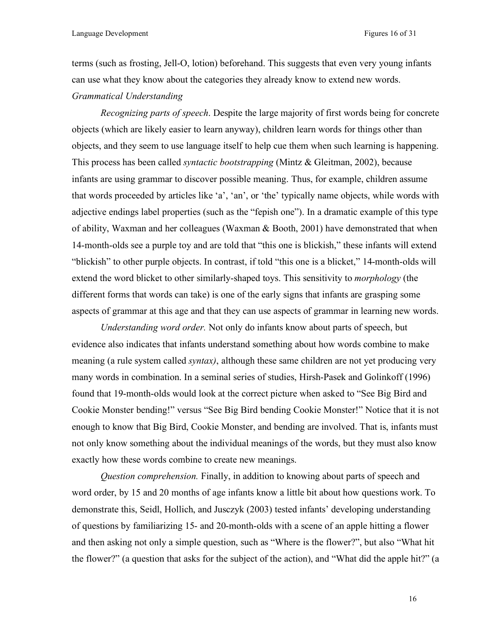terms (such as frosting, Jell-O, lotion) beforehand. This suggests that even very young infants can use what they know about the categories they already know to extend new words. *Grammatical Understanding* 

*Recognizing parts of speech*. Despite the large majority of first words being for concrete objects (which are likely easier to learn anyway), children learn words for things other than objects, and they seem to use language itself to help cue them when such learning is happening. This process has been called *syntactic bootstrapping* (Mintz & Gleitman, 2002), because infants are using grammar to discover possible meaning. Thus, for example, children assume that words proceeded by articles like 'a', 'an', or 'the' typically name objects, while words with adjective endings label properties (such as the "fepish one"). In a dramatic example of this type of ability, Waxman and her colleagues (Waxman & Booth, 2001) have demonstrated that when 14-month-olds see a purple toy and are told that "this one is blickish," these infants will extend "blickish" to other purple objects. In contrast, if told "this one is a blicket," 14-month-olds will extend the word blicket to other similarly-shaped toys. This sensitivity to *morphology* (the different forms that words can take) is one of the early signs that infants are grasping some aspects of grammar at this age and that they can use aspects of grammar in learning new words.

*Understanding word order.* Not only do infants know about parts of speech, but evidence also indicates that infants understand something about how words combine to make meaning (a rule system called *syntax)*, although these same children are not yet producing very many words in combination. In a seminal series of studies, Hirsh-Pasek and Golinkoff (1996) found that 19-month-olds would look at the correct picture when asked to "See Big Bird and Cookie Monster bending!" versus "See Big Bird bending Cookie Monster!" Notice that it is not enough to know that Big Bird, Cookie Monster, and bending are involved. That is, infants must not only know something about the individual meanings of the words, but they must also know exactly how these words combine to create new meanings.

*Question comprehension.* Finally, in addition to knowing about parts of speech and word order, by 15 and 20 months of age infants know a little bit about how questions work. To demonstrate this, Seidl, Hollich, and Jusczyk (2003) tested infants' developing understanding of questions by familiarizing 15- and 20-month-olds with a scene of an apple hitting a flower and then asking not only a simple question, such as "Where is the flower?", but also "What hit the flower?" (a question that asks for the subject of the action), and "What did the apple hit?" (a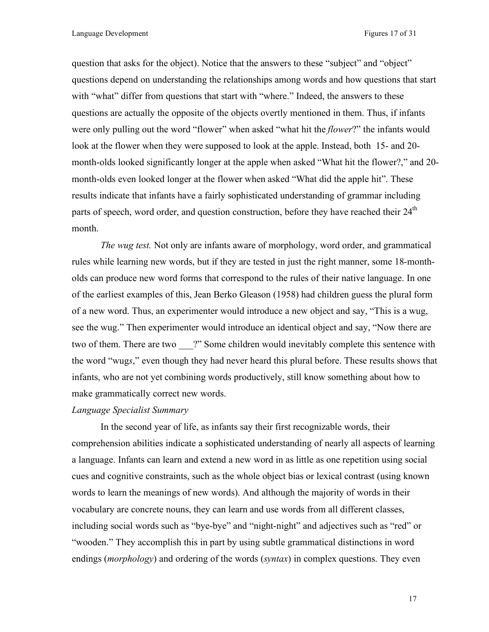question that asks for the object). Notice that the answers to these "subject" and "object" questions depend on understanding the relationships among words and how questions that start with "what" differ from questions that start with "where." Indeed, the answers to these questions are actually the opposite of the objects overtly mentioned in them. Thus, if infants were only pulling out the word "flower" when asked "what hit the *flower*?" the infants would look at the flower when they were supposed to look at the apple. Instead, both 15- and 20 month-olds looked significantly longer at the apple when asked "What hit the flower?," and 20 month-olds even looked longer at the flower when asked "What did the apple hit". These results indicate that infants have a fairly sophisticated understanding of grammar including parts of speech, word order, and question construction, before they have reached their  $24<sup>th</sup>$ month.

*The wug test.* Not only are infants aware of morphology, word order, and grammatical rules while learning new words, but if they are tested in just the right manner, some 18-montholds can produce new word forms that correspond to the rules of their native language. In one of the earliest examples of this, Jean Berko Gleason (1958) had children guess the plural form of a new word. Thus, an experimenter would introduce a new object and say, "This is a wug, see the wug." Then experimenter would introduce an identical object and say, "Now there are two of them. There are two <sup>?"</sup> Some children would inevitably complete this sentence with the word "wug*s*," even though they had never heard this plural before. These results shows that infants, who are not yet combining words productively, still know something about how to make grammatically correct new words.

#### *Language Specialist Summary*

In the second year of life, as infants say their first recognizable words, their comprehension abilities indicate a sophisticated understanding of nearly all aspects of learning a language. Infants can learn and extend a new word in as little as one repetition using social cues and cognitive constraints, such as the whole object bias or lexical contrast (using known words to learn the meanings of new words). And although the majority of words in their vocabulary are concrete nouns, they can learn and use words from all different classes, including social words such as "bye-bye" and "night-night" and adjectives such as "red" or "wooden." They accomplish this in part by using subtle grammatical distinctions in word endings (*morphology*) and ordering of the words (*syntax*) in complex questions. They even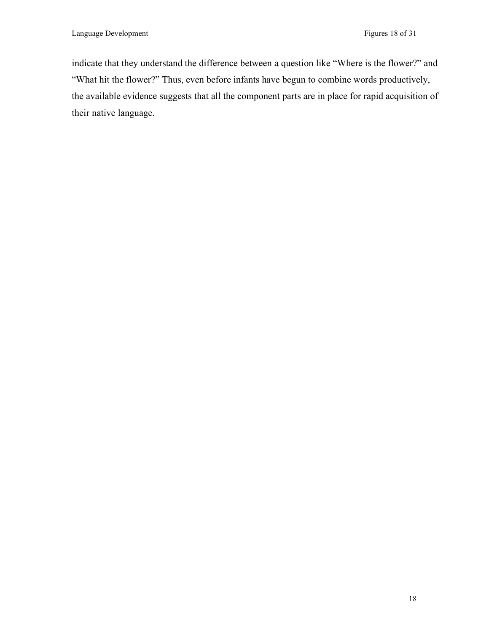indicate that they understand the difference between a question like "Where is the flower?" and "What hit the flower?" Thus, even before infants have begun to combine words productively, the available evidence suggests that all the component parts are in place for rapid acquisition of their native language.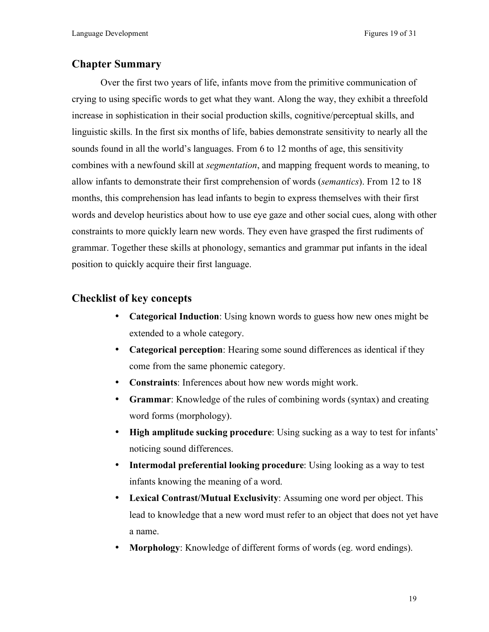# **Chapter Summary**

Over the first two years of life, infants move from the primitive communication of crying to using specific words to get what they want. Along the way, they exhibit a threefold increase in sophistication in their social production skills, cognitive/perceptual skills, and linguistic skills. In the first six months of life, babies demonstrate sensitivity to nearly all the sounds found in all the world's languages. From 6 to 12 months of age, this sensitivity combines with a newfound skill at *segmentation*, and mapping frequent words to meaning, to allow infants to demonstrate their first comprehension of words (*semantics*). From 12 to 18 months, this comprehension has lead infants to begin to express themselves with their first words and develop heuristics about how to use eye gaze and other social cues, along with other constraints to more quickly learn new words. They even have grasped the first rudiments of grammar. Together these skills at phonology, semantics and grammar put infants in the ideal position to quickly acquire their first language.

# **Checklist of key concepts**

- **Categorical Induction**: Using known words to guess how new ones might be extended to a whole category.
- **Categorical perception**: Hearing some sound differences as identical if they come from the same phonemic category.
- **Constraints**: Inferences about how new words might work.
- **Grammar**: Knowledge of the rules of combining words (syntax) and creating word forms (morphology).
- **High amplitude sucking procedure**: Using sucking as a way to test for infants' noticing sound differences.
- **Intermodal preferential looking procedure**: Using looking as a way to test infants knowing the meaning of a word.
- **Lexical Contrast/Mutual Exclusivity**: Assuming one word per object. This lead to knowledge that a new word must refer to an object that does not yet have a name.
- **Morphology**: Knowledge of different forms of words (eg. word endings).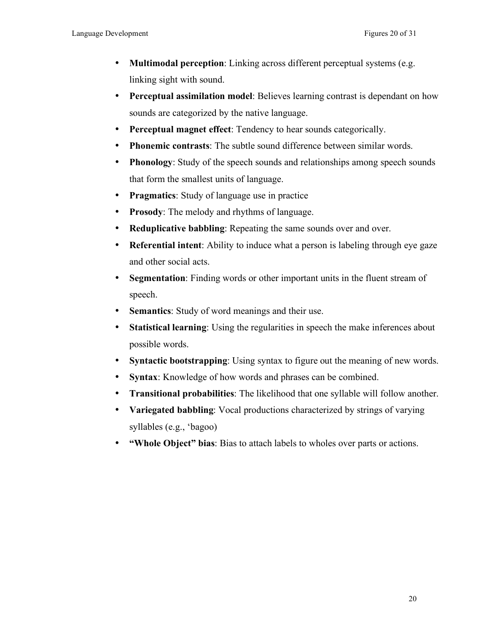- **Multimodal perception**: Linking across different perceptual systems (e.g. linking sight with sound.
- **Perceptual assimilation model**: Believes learning contrast is dependant on how sounds are categorized by the native language.
- **Perceptual magnet effect**: Tendency to hear sounds categorically.
- **Phonemic contrasts**: The subtle sound difference between similar words.
- **Phonology**: Study of the speech sounds and relationships among speech sounds that form the smallest units of language.
- **Pragmatics**: Study of language use in practice
- **Prosody**: The melody and rhythms of language.
- **Reduplicative babbling**: Repeating the same sounds over and over.
- **Referential intent**: Ability to induce what a person is labeling through eye gaze and other social acts.
- **Segmentation**: Finding words or other important units in the fluent stream of speech.
- **Semantics**: Study of word meanings and their use.
- **Statistical learning**: Using the regularities in speech the make inferences about possible words.
- **Syntactic bootstrapping**: Using syntax to figure out the meaning of new words.
- **Syntax**: Knowledge of how words and phrases can be combined.
- **Transitional probabilities**: The likelihood that one syllable will follow another.
- **Variegated babbling**: Vocal productions characterized by strings of varying syllables (e.g., 'bagoo)
- **"Whole Object" bias**: Bias to attach labels to wholes over parts or actions.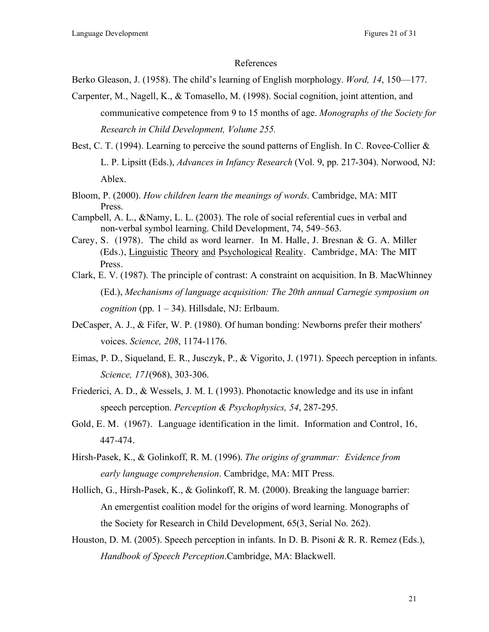#### References

Berko Gleason, J. (1958). The child's learning of English morphology. *Word, 14*, 150—177.

- Carpenter, M., Nagell, K., & Tomasello, M. (1998). Social cognition, joint attention, and communicative competence from 9 to 15 months of age. *Monographs of the Society for Research in Child Development, Volume 255.*
- Best, C. T. (1994). Learning to perceive the sound patterns of English. In C. Rovee-Collier & L. P. Lipsitt (Eds.), *Advances in Infancy Research* (Vol. 9, pp. 217-304). Norwood, NJ: Ablex.
- Bloom, P. (2000). *How children learn the meanings of words*. Cambridge, MA: MIT Press.
- Campbell, A. L., &Namy, L. L. (2003). The role of social referential cues in verbal and non-verbal symbol learning. Child Development, 74, 549–563.
- Carey, S. (1978). The child as word learner. In M. Halle, J. Bresnan & G. A. Miller (Eds.), Linguistic Theory and Psychological Reality. Cambridge, MA: The MIT Press.
- Clark, E. V. (1987). The principle of contrast: A constraint on acquisition. In B. MacWhinney (Ed.), *Mechanisms of language acquisition: The 20th annual Carnegie symposium on cognition* (pp.  $1 - 34$ ). Hillsdale, NJ: Erlbaum.
- DeCasper, A. J., & Fifer, W. P. (1980). Of human bonding: Newborns prefer their mothers' voices. *Science, 208*, 1174-1176.
- Eimas, P. D., Siqueland, E. R., Jusczyk, P., & Vigorito, J. (1971). Speech perception in infants. *Science, 171*(968), 303-306.
- Friederici, A. D., & Wessels, J. M. I. (1993). Phonotactic knowledge and its use in infant speech perception. *Perception & Psychophysics, 54*, 287-295.
- Gold, E. M. (1967). Language identification in the limit. Information and Control, 16, 447-474.
- Hirsh-Pasek, K., & Golinkoff, R. M. (1996). *The origins of grammar: Evidence from early language comprehension*. Cambridge, MA: MIT Press.
- Hollich, G., Hirsh-Pasek, K., & Golinkoff, R. M. (2000). Breaking the language barrier: An emergentist coalition model for the origins of word learning. Monographs of the Society for Research in Child Development, 65(3, Serial No. 262).
- Houston, D. M. (2005). Speech perception in infants. In D. B. Pisoni & R. R. Remez (Eds.), *Handbook of Speech Perception*.Cambridge, MA: Blackwell.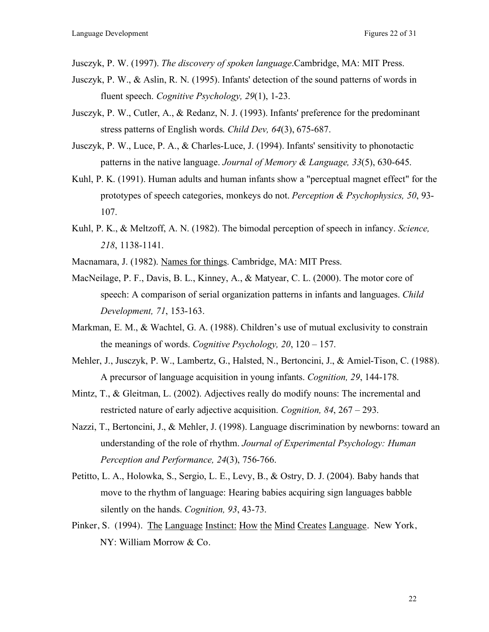Jusczyk, P. W. (1997). *The discovery of spoken language*.Cambridge, MA: MIT Press.

- Jusczyk, P. W., & Aslin, R. N. (1995). Infants' detection of the sound patterns of words in fluent speech. *Cognitive Psychology, 29*(1), 1-23.
- Jusczyk, P. W., Cutler, A., & Redanz, N. J. (1993). Infants' preference for the predominant stress patterns of English words. *Child Dev, 64*(3), 675-687.
- Jusczyk, P. W., Luce, P. A., & Charles-Luce, J. (1994). Infants' sensitivity to phonotactic patterns in the native language. *Journal of Memory & Language, 33*(5), 630-645.
- Kuhl, P. K. (1991). Human adults and human infants show a "perceptual magnet effect" for the prototypes of speech categories, monkeys do not. *Perception & Psychophysics, 50*, 93- 107.
- Kuhl, P. K., & Meltzoff, A. N. (1982). The bimodal perception of speech in infancy. *Science, 218*, 1138-1141.
- Macnamara, J. (1982). Names for things. Cambridge, MA: MIT Press.
- MacNeilage, P. F., Davis, B. L., Kinney, A., & Matyear, C. L. (2000). The motor core of speech: A comparison of serial organization patterns in infants and languages. *Child Development, 71*, 153-163.
- Markman, E. M., & Wachtel, G. A. (1988). Children's use of mutual exclusivity to constrain the meanings of words. *Cognitive Psychology, 20*, 120 – 157.
- Mehler, J., Jusczyk, P. W., Lambertz, G., Halsted, N., Bertoncini, J., & Amiel-Tison, C. (1988). A precursor of language acquisition in young infants. *Cognition, 29*, 144-178.
- Mintz, T., & Gleitman, L. (2002). Adjectives really do modify nouns: The incremental and restricted nature of early adjective acquisition. *Cognition, 84*, 267 – 293.
- Nazzi, T., Bertoncini, J., & Mehler, J. (1998). Language discrimination by newborns: toward an understanding of the role of rhythm. *Journal of Experimental Psychology: Human Perception and Performance, 24*(3), 756-766.
- Petitto, L. A., Holowka, S., Sergio, L. E., Levy, B., & Ostry, D. J. (2004). Baby hands that move to the rhythm of language: Hearing babies acquiring sign languages babble silently on the hands. *Cognition, 93*, 43-73.
- Pinker, S. (1994). The Language Instinct: How the Mind Creates Language. New York, NY: William Morrow & Co.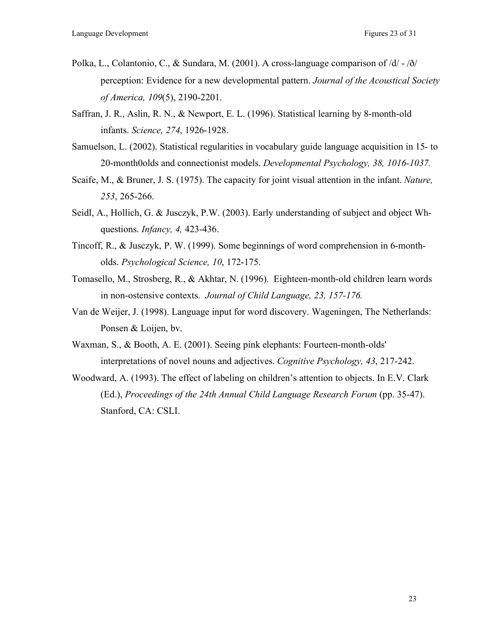- Polka, L., Colantonio, C., & Sundara, M. (2001). A cross-language comparison of /d/ /ð/ perception: Evidence for a new developmental pattern. *Journal of the Acoustical Society of America, 109*(5), 2190-2201.
- Saffran, J. R., Aslin, R. N., & Newport, E. L. (1996). Statistical learning by 8-month-old infants. *Science, 274*, 1926-1928.
- Samuelson, L. (2002). Statistical regularities in vocabulary guide language acquisition in 15- to 20-month0olds and connectionist models. *Developmental Psychology, 38, 1016-1037.*
- Scaife, M., & Bruner, J. S. (1975). The capacity for joint visual attention in the infant. *Nature, 253*, 265-266.
- Seidl, A., Hollich, G. & Jusczyk, P.W. (2003). Early understanding of subject and object Whquestions. *Infancy, 4,* 423-436.
- Tincoff, R., & Jusczyk, P. W. (1999). Some beginnings of word comprehension in 6-montholds. *Psychological Science, 10*, 172-175.
- Tomasello, M., Strosberg, R., & Akhtar, N. (1996). Eighteen-month-old children learn words in non-ostensive contexts. *Journal of Child Language, 23, 157-176.*
- Van de Weijer, J. (1998). Language input for word discovery. Wageningen, The Netherlands: Ponsen & Loijen, bv.
- Waxman, S., & Booth, A. E. (2001). Seeing pink elephants: Fourteen-month-olds' interpretations of novel nouns and adjectives. *Cognitive Psychology, 43*, 217-242.
- Woodward, A. (1993). The effect of labeling on children's attention to objects. In E.V. Clark (Ed.), *Proceedings of the 24th Annual Child Language Research Forum* (pp. 35-47). Stanford, CA: CSLI.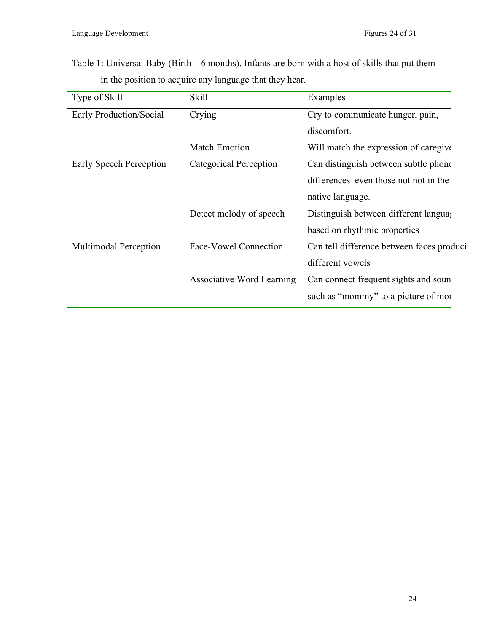Table 1: Universal Baby (Birth – 6 months). Infants are born with a host of skills that put them in the position to acquire any language that they hear.

| Type of Skill                | <b>Skill</b>              | Examples                                  |
|------------------------------|---------------------------|-------------------------------------------|
| Early Production/Social      | Crying                    | Cry to communicate hunger, pain,          |
|                              |                           | discomfort.                               |
|                              | <b>Match Emotion</b>      | Will match the expression of caregive     |
| Early Speech Perception      | Categorical Perception    | Can distinguish between subtle phone      |
|                              |                           | differences–even those not not in the     |
|                              |                           | native language.                          |
|                              | Detect melody of speech   | Distinguish between different language    |
|                              |                           | based on rhythmic properties              |
| <b>Multimodal Perception</b> | Face-Vowel Connection     | Can tell difference between faces produci |
|                              |                           | different vowels                          |
|                              | Associative Word Learning | Can connect frequent sights and soun      |
|                              |                           | such as "mommy" to a picture of more      |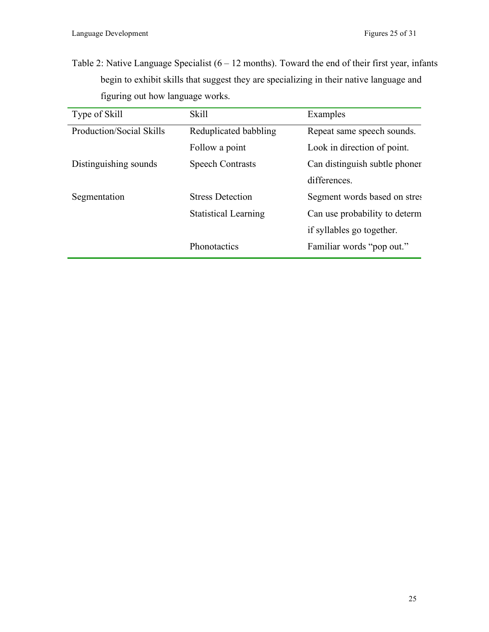Table 2: Native Language Specialist  $(6 - 12 \text{ months})$ . Toward the end of their first year, infants begin to exhibit skills that suggest they are specializing in their native language and figuring out how language works.

| Type of Skill            | <b>Skill</b>                | Examples                      |
|--------------------------|-----------------------------|-------------------------------|
| Production/Social Skills | Reduplicated babbling       | Repeat same speech sounds.    |
|                          | Follow a point              | Look in direction of point.   |
| Distinguishing sounds    | <b>Speech Contrasts</b>     | Can distinguish subtle phoner |
|                          |                             | differences.                  |
| Segmentation             | <b>Stress Detection</b>     | Segment words based on stres  |
|                          | <b>Statistical Learning</b> | Can use probability to determ |
|                          |                             | if syllables go together.     |
|                          | Phonotactics                | Familiar words "pop out."     |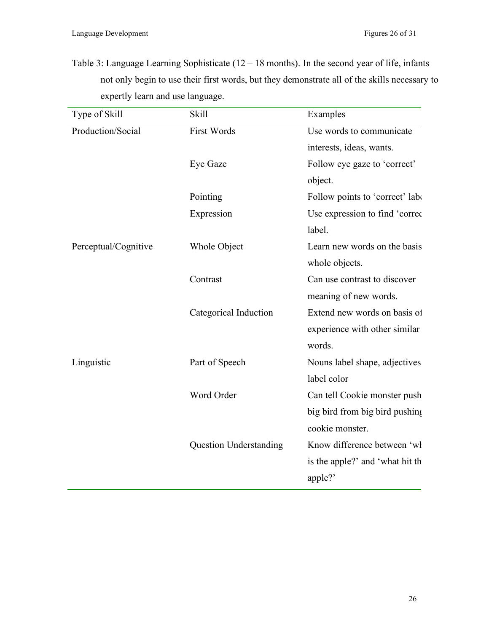Table 3: Language Learning Sophisticate (12 – 18 months). In the second year of life, infants not only begin to use their first words, but they demonstrate all of the skills necessary to expertly learn and use language.

| Type of Skill        | <b>Skill</b>                  | Examples                        |
|----------------------|-------------------------------|---------------------------------|
| Production/Social    | <b>First Words</b>            | Use words to communicate        |
|                      |                               | interests, ideas, wants.        |
|                      | Eye Gaze                      | Follow eye gaze to 'correct'    |
|                      |                               | object.                         |
|                      | Pointing                      | Follow points to 'correct' labe |
|                      | Expression                    | Use expression to find 'correct |
|                      |                               | label.                          |
| Perceptual/Cognitive | Whole Object                  | Learn new words on the basis    |
|                      |                               | whole objects.                  |
|                      | Contrast                      | Can use contrast to discover    |
|                      |                               | meaning of new words.           |
|                      | Categorical Induction         | Extend new words on basis of    |
|                      |                               | experience with other similar   |
|                      |                               | words.                          |
| Linguistic           | Part of Speech                | Nouns label shape, adjectives   |
|                      |                               | label color                     |
|                      | Word Order                    | Can tell Cookie monster push    |
|                      |                               | big bird from big bird pushing  |
|                      |                               | cookie monster.                 |
|                      | <b>Question Understanding</b> | Know difference between 'wl     |
|                      |                               | is the apple?' and 'what hit th |
|                      |                               | apple?'                         |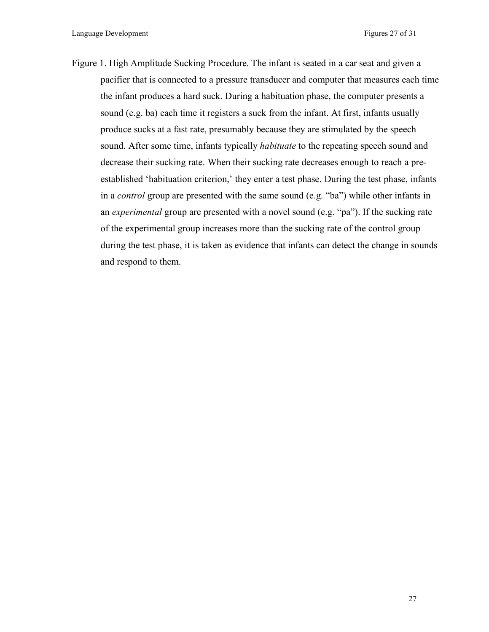Figure 1. High Amplitude Sucking Procedure. The infant is seated in a car seat and given a pacifier that is connected to a pressure transducer and computer that measures each time the infant produces a hard suck. During a habituation phase, the computer presents a sound (e.g. ba) each time it registers a suck from the infant. At first, infants usually produce sucks at a fast rate, presumably because they are stimulated by the speech sound. After some time, infants typically *habituate* to the repeating speech sound and decrease their sucking rate. When their sucking rate decreases enough to reach a preestablished 'habituation criterion,' they enter a test phase. During the test phase, infants in a *control* group are presented with the same sound (e.g. "ba") while other infants in an *experimental* group are presented with a novel sound (e.g. "pa"). If the sucking rate of the experimental group increases more than the sucking rate of the control group during the test phase, it is taken as evidence that infants can detect the change in sounds and respond to them.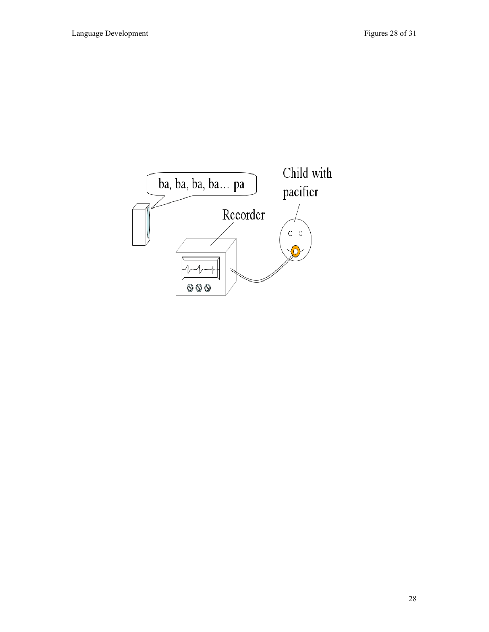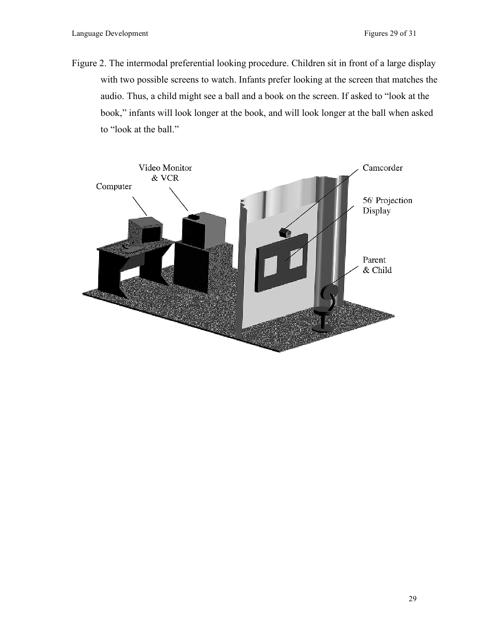Figure 2. The intermodal preferential looking procedure. Children sit in front of a large display with two possible screens to watch. Infants prefer looking at the screen that matches the audio. Thus, a child might see a ball and a book on the screen. If asked to "look at the book," infants will look longer at the book, and will look longer at the ball when asked to "look at the ball."

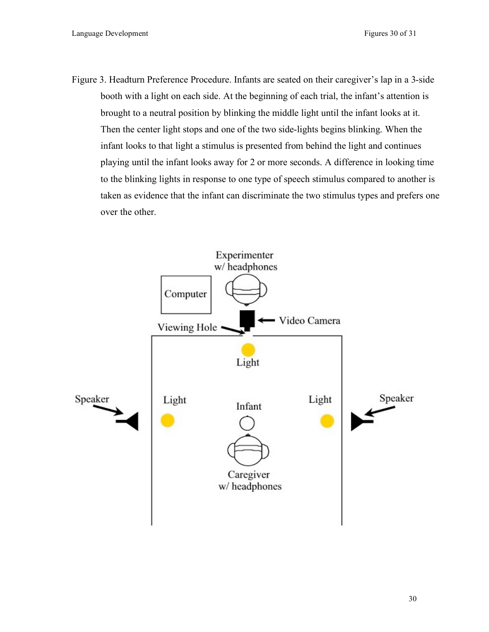Figure 3. Headturn Preference Procedure. Infants are seated on their caregiver's lap in a 3-side booth with a light on each side. At the beginning of each trial, the infant's attention is brought to a neutral position by blinking the middle light until the infant looks at it. Then the center light stops and one of the two side-lights begins blinking. When the infant looks to that light a stimulus is presented from behind the light and continues playing until the infant looks away for 2 or more seconds. A difference in looking time to the blinking lights in response to one type of speech stimulus compared to another is taken as evidence that the infant can discriminate the two stimulus types and prefers one over the other.